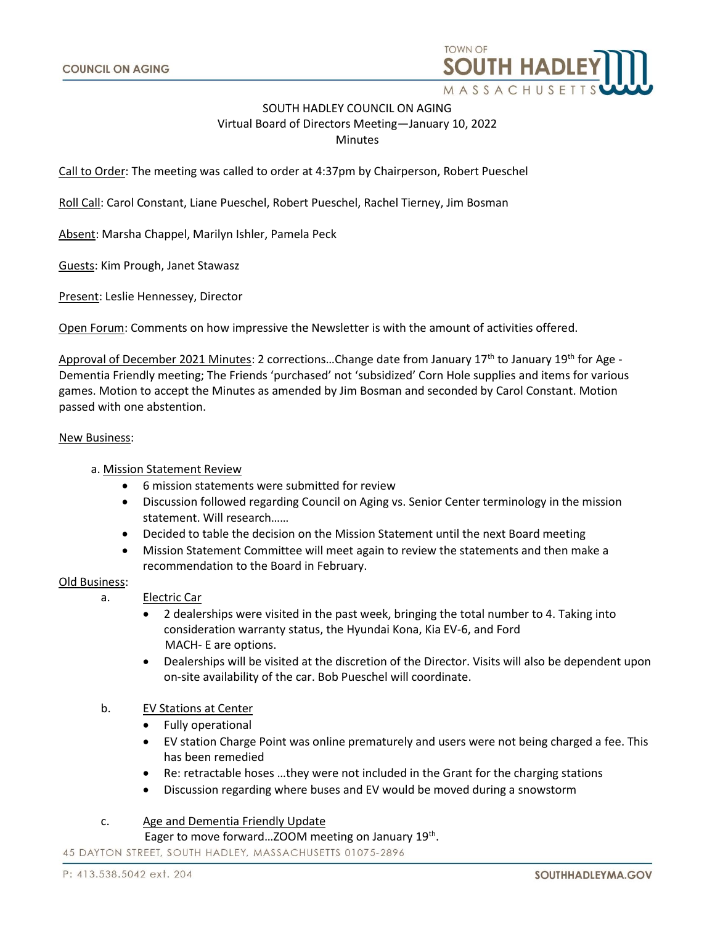

# SOUTH HADLEY COUNCIL ON AGING Virtual Board of Directors Meeting—January 10, 2022 **Minutes**

Call to Order: The meeting was called to order at 4:37pm by Chairperson, Robert Pueschel

Roll Call: Carol Constant, Liane Pueschel, Robert Pueschel, Rachel Tierney, Jim Bosman

Absent: Marsha Chappel, Marilyn Ishler, Pamela Peck

Guests: Kim Prough, Janet Stawasz

Present: Leslie Hennessey, Director

Open Forum: Comments on how impressive the Newsletter is with the amount of activities offered.

Approval of December 2021 Minutes: 2 corrections...Change date from January 17<sup>th</sup> to January 19<sup>th</sup> for Age -Dementia Friendly meeting; The Friends 'purchased' not 'subsidized' Corn Hole supplies and items for various games. Motion to accept the Minutes as amended by Jim Bosman and seconded by Carol Constant. Motion passed with one abstention.

#### New Business:

# a. Mission Statement Review

- 6 mission statements were submitted for review
- Discussion followed regarding Council on Aging vs. Senior Center terminology in the mission statement. Will research……
- Decided to table the decision on the Mission Statement until the next Board meeting
- Mission Statement Committee will meet again to review the statements and then make a recommendation to the Board in February.

## Old Business:

- a. Electric Car
	- 2 dealerships were visited in the past week, bringing the total number to 4. Taking into consideration warranty status, the Hyundai Kona, Kia EV-6, and Ford MACH- E are options.
	- Dealerships will be visited at the discretion of the Director. Visits will also be dependent upon on-site availability of the car. Bob Pueschel will coordinate.
- b. EV Stations at Center
	- Fully operational
	- EV station Charge Point was online prematurely and users were not being charged a fee. This has been remedied
	- Re: retractable hoses …they were not included in the Grant for the charging stations
	- Discussion regarding where buses and EV would be moved during a snowstorm

# c. Age and Dementia Friendly Update

Eager to move forward...ZOOM meeting on January 19<sup>th</sup>.

45 DAYTON STREET, SOUTH HADLEY, MASSACHUSETTS 01075-2896